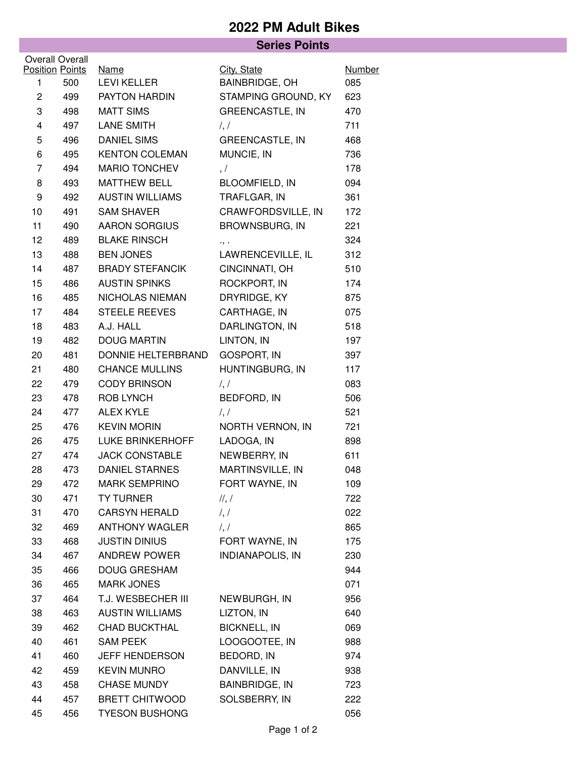## **2022 PM Adult Bikes**

## **Series Points**

|                | Overall Overall<br><b>Position Points</b> | <b>Name</b>            | City, State                | <b>Number</b> |
|----------------|-------------------------------------------|------------------------|----------------------------|---------------|
| 1              | 500                                       | <b>LEVI KELLER</b>     | <b>BAINBRIDGE, OH</b>      | 085           |
| $\overline{c}$ | 499                                       | PAYTON HARDIN          | STAMPING GROUND, KY        | 623           |
| 3              | 498                                       | <b>MATT SIMS</b>       | <b>GREENCASTLE, IN</b>     | 470           |
| 4              | 497                                       | <b>LANE SMITH</b>      | $\frac{1}{2}$              | 711           |
| 5              | 496                                       | <b>DANIEL SIMS</b>     | <b>GREENCASTLE, IN</b>     | 468           |
| 6              | 495                                       | <b>KENTON COLEMAN</b>  | MUNCIE, IN                 | 736           |
| 7              | 494                                       | <b>MARIO TONCHEV</b>   | , /                        | 178           |
| 8              | 493                                       | <b>MATTHEW BELL</b>    | <b>BLOOMFIELD, IN</b>      | 094           |
| 9              | 492                                       | <b>AUSTIN WILLIAMS</b> | TRAFLGAR, IN               | 361           |
| 10             | 491                                       | <b>SAM SHAVER</b>      | CRAWFORDSVILLE, IN         | 172           |
| 11             | 490                                       | <b>AARON SORGIUS</b>   | <b>BROWNSBURG, IN</b>      | 221           |
| 12             | 489                                       | <b>BLAKE RINSCH</b>    | ۰, ۰                       | 324           |
| 13             | 488                                       | <b>BEN JONES</b>       | LAWRENCEVILLE, IL          | 312           |
| 14             | 487                                       | <b>BRADY STEFANCIK</b> | CINCINNATI, OH             | 510           |
| 15             | 486                                       | <b>AUSTIN SPINKS</b>   | ROCKPORT, IN               | 174           |
| 16             | 485                                       | NICHOLAS NIEMAN        | DRYRIDGE, KY               | 875           |
| 17             | 484                                       | <b>STEELE REEVES</b>   | CARTHAGE, IN               | 075           |
| 18             | 483                                       | A.J. HALL              | DARLINGTON, IN             | 518           |
| 19             | 482                                       | <b>DOUG MARTIN</b>     | LINTON, IN                 | 197           |
| 20             | 481                                       | DONNIE HELTERBRAND     | <b>GOSPORT, IN</b>         | 397           |
| 21             | 480                                       | <b>CHANCE MULLINS</b>  | HUNTINGBURG, IN            | 117           |
| 22             | 479                                       | <b>CODY BRINSON</b>    | $\frac{1}{2}$              | 083           |
| 23             | 478                                       | ROB LYNCH              | BEDFORD, IN                | 506           |
| 24             | 477                                       | <b>ALEX KYLE</b>       | $\frac{1}{2}$              | 521           |
| 25             | 476                                       | <b>KEVIN MORIN</b>     | NORTH VERNON, IN           | 721           |
| 26             | 475                                       | LUKE BRINKERHOFF       | LADOGA, IN                 | 898           |
| 27             | 474                                       | <b>JACK CONSTABLE</b>  | NEWBERRY, IN               | 611           |
| 28             | 473                                       | <b>DANIEL STARNES</b>  | MARTINSVILLE, IN           | 048           |
| 29             | 472                                       | MARK SEMPRINO          | FORT WAYNE, IN             | 109           |
| 30             | 471                                       | <b>TY TURNER</b>       | $\mathcal{U}, \mathcal{V}$ | 722           |
| 31             | 470                                       | <b>CARSYN HERALD</b>   | $\frac{1}{2}$              | 022           |
| 32             | 469                                       | ANTHONY WAGLER         | $\frac{1}{2}$              | 865           |
| 33             | 468                                       | <b>JUSTIN DINIUS</b>   | FORT WAYNE, IN             | 175           |
| 34             | 467                                       | ANDREW POWER           | <b>INDIANAPOLIS, IN</b>    | 230           |
| 35             | 466                                       | <b>DOUG GRESHAM</b>    |                            | 944           |
| 36             | 465                                       | <b>MARK JONES</b>      |                            | 071           |
| 37             | 464                                       | T.J. WESBECHER III     | NEWBURGH, IN               | 956           |
| 38             | 463                                       | <b>AUSTIN WILLIAMS</b> | LIZTON, IN                 | 640           |
| 39             | 462                                       | <b>CHAD BUCKTHAL</b>   | <b>BICKNELL, IN</b>        | 069           |
| 40             | 461                                       | <b>SAM PEEK</b>        | LOOGOOTEE, IN              | 988           |
| 41             | 460                                       | <b>JEFF HENDERSON</b>  | BEDORD, IN                 | 974           |
| 42             | 459                                       | <b>KEVIN MUNRO</b>     | DANVILLE, IN               | 938           |
| 43             | 458                                       | <b>CHASE MUNDY</b>     | BAINBRIDGE, IN             | 723           |
| 44             | 457                                       | <b>BRETT CHITWOOD</b>  | SOLSBERRY, IN              | 222           |
| 45             | 456                                       | <b>TYESON BUSHONG</b>  |                            | 056           |